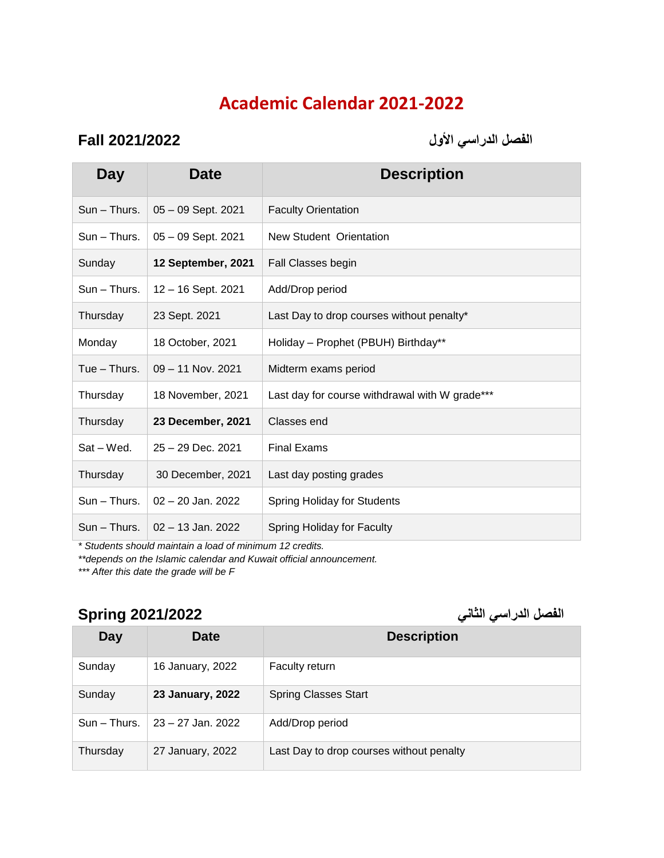## **Academic Calendar 2021-2022**

**الفصل الدراسي األول 2021/2022 Fall**

| Day           | <b>Date</b>          | <b>Description</b>                             |
|---------------|----------------------|------------------------------------------------|
| $Sun - Thus.$ | $05 - 09$ Sept. 2021 | <b>Faculty Orientation</b>                     |
| Sun - Thurs.  | $05 - 09$ Sept. 2021 | New Student Orientation                        |
| Sunday        | 12 September, 2021   | Fall Classes begin                             |
| Sun - Thurs.  | $12 - 16$ Sept. 2021 | Add/Drop period                                |
| Thursday      | 23 Sept. 2021        | Last Day to drop courses without penalty*      |
| Monday        | 18 October, 2021     | Holiday - Prophet (PBUH) Birthday**            |
| $Tue - Thus.$ | $09 - 11$ Nov. 2021  | Midterm exams period                           |
| Thursday      | 18 November, 2021    | Last day for course withdrawal with W grade*** |
| Thursday      | 23 December, 2021    | Classes end                                    |
| Sat - Wed.    | 25 - 29 Dec. 2021    | <b>Final Exams</b>                             |
| Thursday      | 30 December, 2021    | Last day posting grades                        |
| Sun - Thurs.  | $02 - 20$ Jan. 2022  | <b>Spring Holiday for Students</b>             |
| Sun - Thurs.  | $02 - 13$ Jan. 2022  | Spring Holiday for Faculty                     |

*\* Students should maintain a load of minimum 12 credits.*

*\*\*depends on the Islamic calendar and Kuwait official announcement.* 

*\*\*\* After this date the grade will be F*

## **الفصل الدراسي الثاني 2021/2022 Spring**

| Day          | Date              | <b>Description</b>                       |
|--------------|-------------------|------------------------------------------|
| Sunday       | 16 January, 2022  | <b>Faculty return</b>                    |
| Sunday       | 23 January, 2022  | <b>Spring Classes Start</b>              |
| Sun - Thurs. | 23 – 27 Jan. 2022 | Add/Drop period                          |
| Thursday     | 27 January, 2022  | Last Day to drop courses without penalty |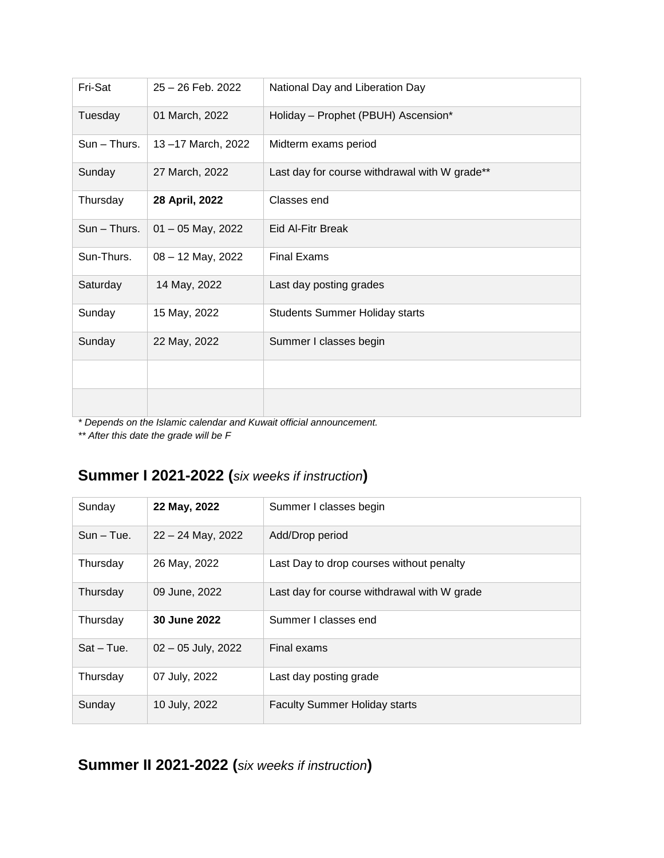| Fri-Sat      | 25 - 26 Feb. 2022   | National Day and Liberation Day               |
|--------------|---------------------|-----------------------------------------------|
| Tuesday      | 01 March, 2022      | Holiday - Prophet (PBUH) Ascension*           |
| Sun - Thurs. | 13-17 March, 2022   | Midterm exams period                          |
| Sunday       | 27 March, 2022      | Last day for course withdrawal with W grade** |
| Thursday     | 28 April, 2022      | Classes end                                   |
| Sun - Thurs. | $01 - 05$ May, 2022 | Eid Al-Fitr Break                             |
| Sun-Thurs.   | 08 - 12 May, 2022   | <b>Final Exams</b>                            |
| Saturday     | 14 May, 2022        | Last day posting grades                       |
| Sunday       | 15 May, 2022        | <b>Students Summer Holiday starts</b>         |
| Sunday       | 22 May, 2022        | Summer I classes begin                        |
|              |                     |                                               |
|              |                     |                                               |

*\* Depends on the Islamic calendar and Kuwait official announcement.* 

*\*\* After this date the grade will be F*

## **Summer I 2021-2022 (***six weeks if instruction***)**

| Sunday       | 22 May, 2022         | Summer I classes begin                      |
|--------------|----------------------|---------------------------------------------|
| $Sun - Tue.$ | $22 - 24$ May, 2022  | Add/Drop period                             |
| Thursday     | 26 May, 2022         | Last Day to drop courses without penalty    |
| Thursday     | 09 June, 2022        | Last day for course withdrawal with W grade |
| Thursday     | 30 June 2022         | Summer I classes end                        |
| $Sat - Tue.$ | $02 - 05$ July, 2022 | Final exams                                 |
| Thursday     | 07 July, 2022        | Last day posting grade                      |
| Sunday       | 10 July, 2022        | <b>Faculty Summer Holiday starts</b>        |

**Summer II 2021-2022 (***six weeks if instruction***)**